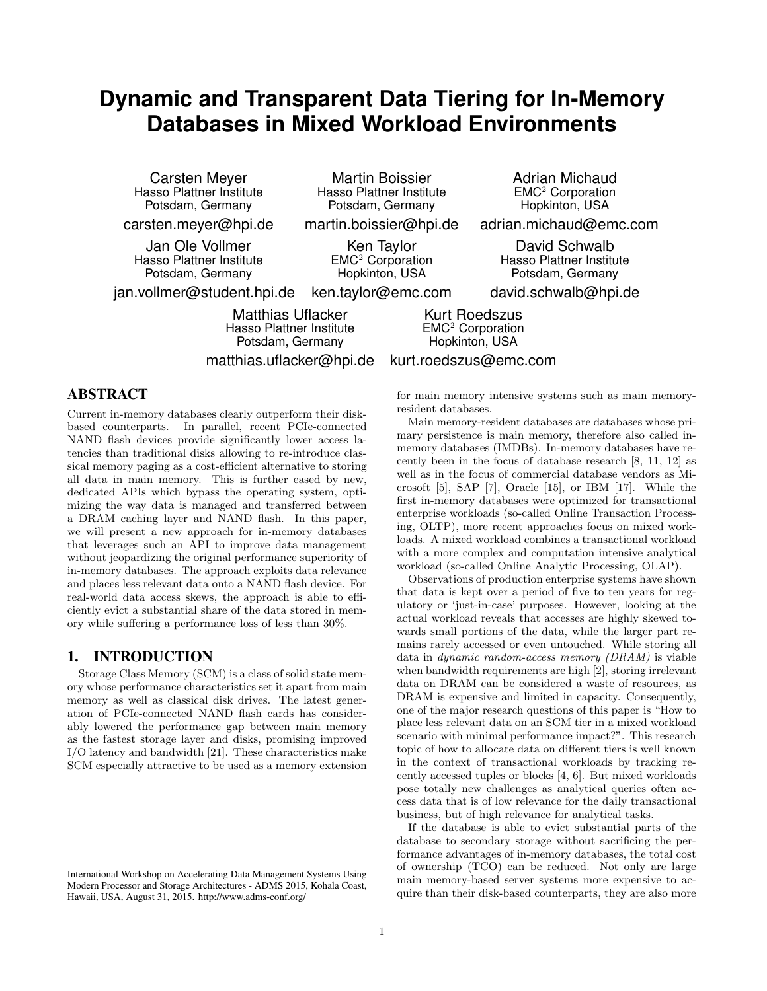# **Dynamic and Transparent Data Tiering for In-Memory Databases in Mixed Workload Environments**

Carsten Meyer Hasso Plattner Institute Potsdam, Germany

carsten.meyer@hpi.de

Jan Ole Vollmer Hasso Plattner Institute Potsdam, Germany

Martin Boissier Hasso Plattner Institute Potsdam, Germany

martin.boissier@hpi.de

Ken Taylor EMC<sup>2</sup> Corporation Hopkinton, USA

jan.vollmer@student.hpi.de ken.taylor@emc.com

> Matthias Uflacker Hasso Plattner Institute Potsdam, Germany matthias.uflacker@hpi.de

Kurt Roedszus EMC<sup>2</sup> Corporation Hopkinton, USA

# kurt.roedszus@emc.com

# ABSTRACT

Current in-memory databases clearly outperform their diskbased counterparts. In parallel, recent PCIe-connected NAND flash devices provide significantly lower access latencies than traditional disks allowing to re-introduce classical memory paging as a cost-efficient alternative to storing all data in main memory. This is further eased by new, dedicated APIs which bypass the operating system, optimizing the way data is managed and transferred between a DRAM caching layer and NAND flash. In this paper, we will present a new approach for in-memory databases that leverages such an API to improve data management without jeopardizing the original performance superiority of in-memory databases. The approach exploits data relevance and places less relevant data onto a NAND flash device. For real-world data access skews, the approach is able to efficiently evict a substantial share of the data stored in memory while suffering a performance loss of less than 30%.

# 1. INTRODUCTION

Storage Class Memory (SCM) is a class of solid state memory whose performance characteristics set it apart from main memory as well as classical disk drives. The latest generation of PCIe-connected NAND flash cards has considerably lowered the performance gap between main memory as the fastest storage layer and disks, promising improved I/O latency and bandwidth [21]. These characteristics make SCM especially attractive to be used as a memory extension for main memory intensive systems such as main memoryresident databases.

Main memory-resident databases are databases whose primary persistence is main memory, therefore also called inmemory databases (IMDBs). In-memory databases have recently been in the focus of database research [8, 11, 12] as well as in the focus of commercial database vendors as Microsoft [5], SAP [7], Oracle [15], or IBM [17]. While the first in-memory databases were optimized for transactional enterprise workloads (so-called Online Transaction Processing, OLTP), more recent approaches focus on mixed workloads. A mixed workload combines a transactional workload with a more complex and computation intensive analytical workload (so-called Online Analytic Processing, OLAP).

Observations of production enterprise systems have shown that data is kept over a period of five to ten years for regulatory or 'just-in-case' purposes. However, looking at the actual workload reveals that accesses are highly skewed towards small portions of the data, while the larger part remains rarely accessed or even untouched. While storing all data in dynamic random-access memory (DRAM) is viable when bandwidth requirements are high [2], storing irrelevant data on DRAM can be considered a waste of resources, as DRAM is expensive and limited in capacity. Consequently, one of the major research questions of this paper is "How to place less relevant data on an SCM tier in a mixed workload scenario with minimal performance impact?". This research topic of how to allocate data on different tiers is well known in the context of transactional workloads by tracking recently accessed tuples or blocks [4, 6]. But mixed workloads pose totally new challenges as analytical queries often access data that is of low relevance for the daily transactional business, but of high relevance for analytical tasks.

If the database is able to evict substantial parts of the database to secondary storage without sacrificing the performance advantages of in-memory databases, the total cost of ownership (TCO) can be reduced. Not only are large main memory-based server systems more expensive to acquire than their disk-based counterparts, they are also more

Hopkinton, USA adrian.michaud@emc.com

Adrian Michaud EMC<sup>2</sup> Corporation

David Schwalb Hasso Plattner Institute Potsdam, Germany

david.schwalb@hpi.de

International Workshop on Accelerating Data Management Systems Using Modern Processor and Storage Architectures - ADMS 2015, Kohala Coast, Hawaii, USA, August 31, 2015. http://www.adms-conf.org/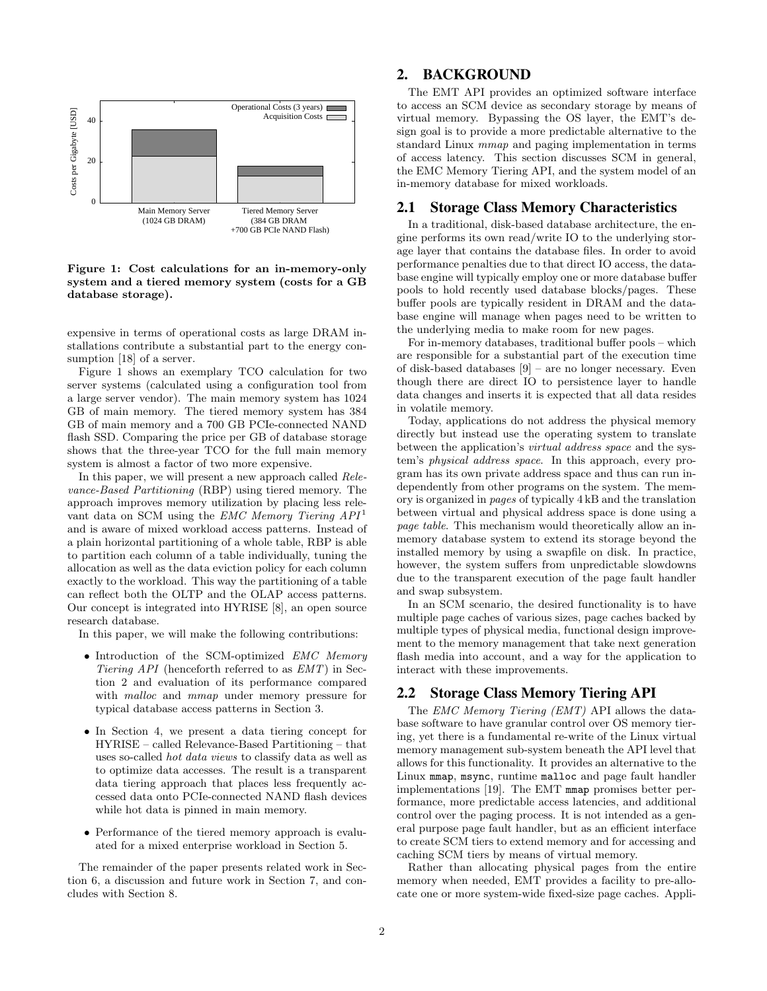

Figure 1: Cost calculations for an in-memory-only system and a tiered memory system (costs for a GB database storage).

expensive in terms of operational costs as large DRAM installations contribute a substantial part to the energy consumption [18] of a server.

Figure 1 shows an exemplary TCO calculation for two server systems (calculated using a configuration tool from a large server vendor). The main memory system has 1024 GB of main memory. The tiered memory system has 384 GB of main memory and a 700 GB PCIe-connected NAND flash SSD. Comparing the price per GB of database storage shows that the three-year TCO for the full main memory system is almost a factor of two more expensive.

In this paper, we will present a new approach called Relevance-Based Partitioning (RBP) using tiered memory. The approach improves memory utilization by placing less relevant data on SCM using the  $EMC$  Memory Tiering  $API<sup>1</sup>$ and is aware of mixed workload access patterns. Instead of a plain horizontal partitioning of a whole table, RBP is able to partition each column of a table individually, tuning the allocation as well as the data eviction policy for each column exactly to the workload. This way the partitioning of a table can reflect both the OLTP and the OLAP access patterns. Our concept is integrated into HYRISE [8], an open source research database.

In this paper, we will make the following contributions:

- Introduction of the SCM-optimized EMC Memory Tiering API (henceforth referred to as EMT) in Section 2 and evaluation of its performance compared with *malloc* and *mmap* under memory pressure for typical database access patterns in Section 3.
- In Section 4, we present a data tiering concept for HYRISE – called Relevance-Based Partitioning – that uses so-called hot data views to classify data as well as to optimize data accesses. The result is a transparent data tiering approach that places less frequently accessed data onto PCIe-connected NAND flash devices while hot data is pinned in main memory.
- Performance of the tiered memory approach is evaluated for a mixed enterprise workload in Section 5.

The remainder of the paper presents related work in Section 6, a discussion and future work in Section 7, and concludes with Section 8.

# 2. BACKGROUND

The EMT API provides an optimized software interface to access an SCM device as secondary storage by means of virtual memory. Bypassing the OS layer, the EMT's design goal is to provide a more predictable alternative to the standard Linux mmap and paging implementation in terms of access latency. This section discusses SCM in general, the EMC Memory Tiering API, and the system model of an in-memory database for mixed workloads.

# **2.1 Storage Class Memory Characteristics**

In a traditional, disk-based database architecture, the engine performs its own read/write IO to the underlying storage layer that contains the database files. In order to avoid performance penalties due to that direct IO access, the database engine will typically employ one or more database buffer pools to hold recently used database blocks/pages. These buffer pools are typically resident in DRAM and the database engine will manage when pages need to be written to the underlying media to make room for new pages.

For in-memory databases, traditional buffer pools – which are responsible for a substantial part of the execution time of disk-based databases [9] – are no longer necessary. Even though there are direct IO to persistence layer to handle data changes and inserts it is expected that all data resides in volatile memory.

Today, applications do not address the physical memory directly but instead use the operating system to translate between the application's virtual address space and the system's physical address space. In this approach, every program has its own private address space and thus can run independently from other programs on the system. The memory is organized in pages of typically 4 kB and the translation between virtual and physical address space is done using a page table. This mechanism would theoretically allow an inmemory database system to extend its storage beyond the installed memory by using a swapfile on disk. In practice, however, the system suffers from unpredictable slowdowns due to the transparent execution of the page fault handler and swap subsystem.

In an SCM scenario, the desired functionality is to have multiple page caches of various sizes, page caches backed by multiple types of physical media, functional design improvement to the memory management that take next generation flash media into account, and a way for the application to interact with these improvements.

# 2.2 Storage Class Memory Tiering API

The EMC Memory Tiering (EMT) API allows the database software to have granular control over OS memory tiering, yet there is a fundamental re-write of the Linux virtual memory management sub-system beneath the API level that allows for this functionality. It provides an alternative to the Linux mmap, msync, runtime malloc and page fault handler implementations [19]. The EMT mmap promises better performance, more predictable access latencies, and additional control over the paging process. It is not intended as a general purpose page fault handler, but as an efficient interface to create SCM tiers to extend memory and for accessing and caching SCM tiers by means of virtual memory.

Rather than allocating physical pages from the entire memory when needed, EMT provides a facility to pre-allocate one or more system-wide fixed-size page caches. Appli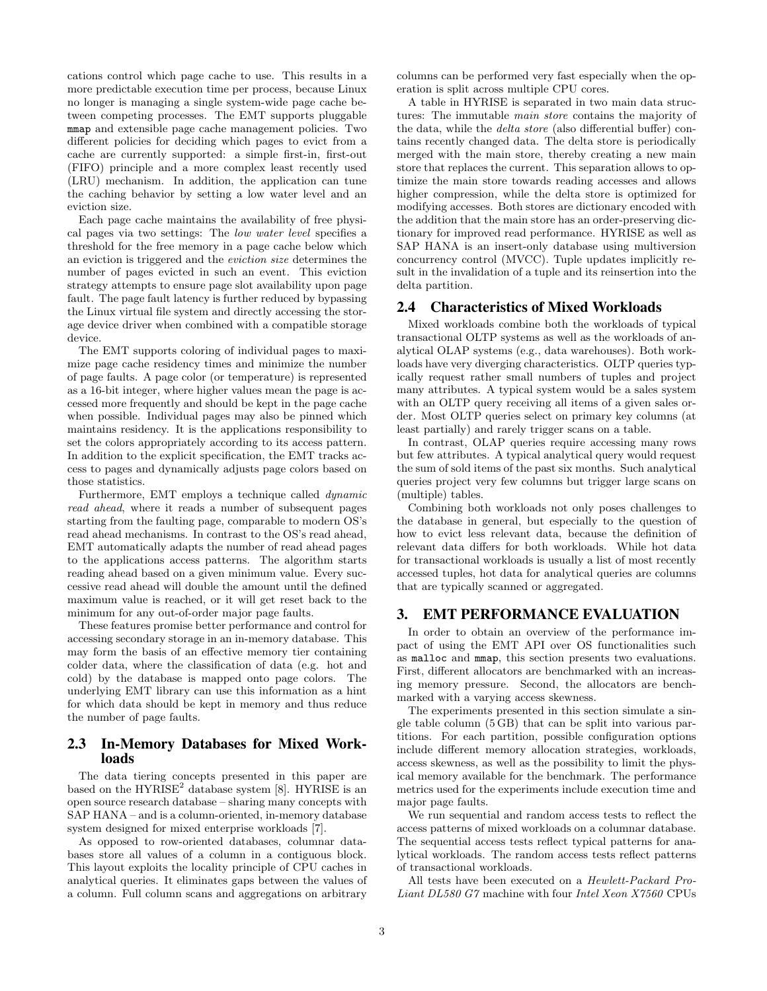cations control which page cache to use. This results in a more predictable execution time per process, because Linux no longer is managing a single system-wide page cache between competing processes. The EMT supports pluggable mmap and extensible page cache management policies. Two different policies for deciding which pages to evict from a cache are currently supported: a simple first-in, first-out (FIFO) principle and a more complex least recently used (LRU) mechanism. In addition, the application can tune the caching behavior by setting a low water level and an eviction size.

Each page cache maintains the availability of free physical pages via two settings: The low water level specifies a threshold for the free memory in a page cache below which an eviction is triggered and the eviction size determines the number of pages evicted in such an event. This eviction strategy attempts to ensure page slot availability upon page fault. The page fault latency is further reduced by bypassing the Linux virtual file system and directly accessing the storage device driver when combined with a compatible storage device.

The EMT supports coloring of individual pages to maximize page cache residency times and minimize the number of page faults. A page color (or temperature) is represented as a 16-bit integer, where higher values mean the page is accessed more frequently and should be kept in the page cache when possible. Individual pages may also be pinned which maintains residency. It is the applications responsibility to set the colors appropriately according to its access pattern. In addition to the explicit specification, the EMT tracks access to pages and dynamically adjusts page colors based on those statistics.

Furthermore, EMT employs a technique called dynamic read ahead, where it reads a number of subsequent pages starting from the faulting page, comparable to modern OS's read ahead mechanisms. In contrast to the OS's read ahead, EMT automatically adapts the number of read ahead pages to the applications access patterns. The algorithm starts reading ahead based on a given minimum value. Every successive read ahead will double the amount until the defined maximum value is reached, or it will get reset back to the minimum for any out-of-order major page faults.

These features promise better performance and control for accessing secondary storage in an in-memory database. This may form the basis of an effective memory tier containing colder data, where the classification of data (e.g. hot and cold) by the database is mapped onto page colors. The underlying EMT library can use this information as a hint for which data should be kept in memory and thus reduce the number of page faults.

# 2.3 In-Memory Databases for Mixed Workloads

The data tiering concepts presented in this paper are based on the  $HYRISE<sup>2</sup>$  database system [8]. HYRISE is an open source research database – sharing many concepts with SAP HANA – and is a column-oriented, in-memory database system designed for mixed enterprise workloads [7].

As opposed to row-oriented databases, columnar databases store all values of a column in a contiguous block. This layout exploits the locality principle of CPU caches in analytical queries. It eliminates gaps between the values of a column. Full column scans and aggregations on arbitrary

columns can be performed very fast especially when the operation is split across multiple CPU cores.

A table in HYRISE is separated in two main data structures: The immutable main store contains the majority of the data, while the delta store (also differential buffer) contains recently changed data. The delta store is periodically merged with the main store, thereby creating a new main store that replaces the current. This separation allows to optimize the main store towards reading accesses and allows higher compression, while the delta store is optimized for modifying accesses. Both stores are dictionary encoded with the addition that the main store has an order-preserving dictionary for improved read performance. HYRISE as well as SAP HANA is an insert-only database using multiversion concurrency control (MVCC). Tuple updates implicitly result in the invalidation of a tuple and its reinsertion into the delta partition.

#### 2.4 Characteristics of Mixed Workloads

Mixed workloads combine both the workloads of typical transactional OLTP systems as well as the workloads of analytical OLAP systems (e.g., data warehouses). Both workloads have very diverging characteristics. OLTP queries typically request rather small numbers of tuples and project many attributes. A typical system would be a sales system with an OLTP query receiving all items of a given sales order. Most OLTP queries select on primary key columns (at least partially) and rarely trigger scans on a table.

In contrast, OLAP queries require accessing many rows but few attributes. A typical analytical query would request the sum of sold items of the past six months. Such analytical queries project very few columns but trigger large scans on (multiple) tables.

Combining both workloads not only poses challenges to the database in general, but especially to the question of how to evict less relevant data, because the definition of relevant data differs for both workloads. While hot data for transactional workloads is usually a list of most recently accessed tuples, hot data for analytical queries are columns that are typically scanned or aggregated.

# 3. EMT PERFORMANCE EVALUATION

In order to obtain an overview of the performance impact of using the EMT API over OS functionalities such as malloc and mmap, this section presents two evaluations. First, different allocators are benchmarked with an increasing memory pressure. Second, the allocators are benchmarked with a varying access skewness.

The experiments presented in this section simulate a single table column (5 GB) that can be split into various partitions. For each partition, possible configuration options include different memory allocation strategies, workloads, access skewness, as well as the possibility to limit the physical memory available for the benchmark. The performance metrics used for the experiments include execution time and major page faults.

We run sequential and random access tests to reflect the access patterns of mixed workloads on a columnar database. The sequential access tests reflect typical patterns for analytical workloads. The random access tests reflect patterns of transactional workloads.

All tests have been executed on a Hewlett-Packard Pro-Liant DL580 G7 machine with four Intel Xeon X7560 CPUs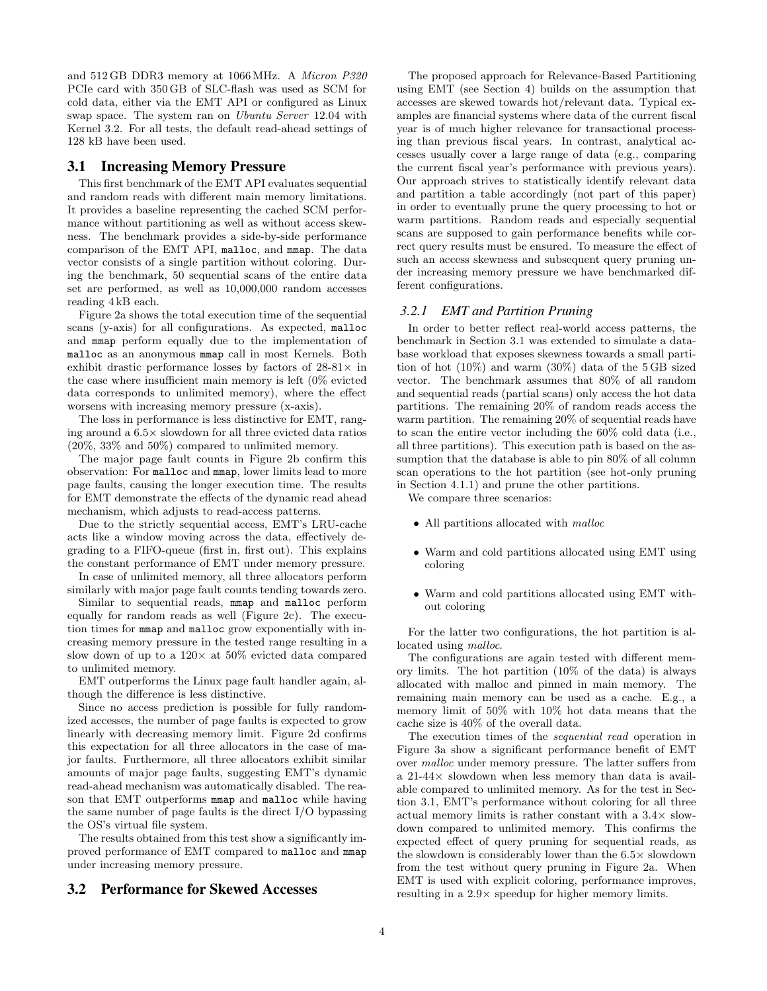and 512 GB DDR3 memory at 1066 MHz. A Micron P320 PCIe card with 350 GB of SLC-flash was used as SCM for cold data, either via the EMT API or configured as Linux swap space. The system ran on Ubuntu Server 12.04 with Kernel 3.2. For all tests, the default read-ahead settings of 128 kB have been used.

#### 3.1 Increasing Memory Pressure

This first benchmark of the EMT API evaluates sequential and random reads with different main memory limitations. It provides a baseline representing the cached SCM performance without partitioning as well as without access skewness. The benchmark provides a side-by-side performance comparison of the EMT API, malloc, and mmap. The data vector consists of a single partition without coloring. During the benchmark, 50 sequential scans of the entire data set are performed, as well as 10,000,000 random accesses reading 4 kB each.

Figure 2a shows the total execution time of the sequential scans (y-axis) for all configurations. As expected, malloc and mmap perform equally due to the implementation of malloc as an anonymous mmap call in most Kernels. Both exhibit drastic performance losses by factors of  $28-81\times$  in the case where insufficient main memory is left (0% evicted data corresponds to unlimited memory), where the effect worsens with increasing memory pressure (x-axis).

The loss in performance is less distinctive for EMT, ranging around a 6.5× slowdown for all three evicted data ratios (20%, 33% and 50%) compared to unlimited memory.

The major page fault counts in Figure 2b confirm this observation: For malloc and mmap, lower limits lead to more page faults, causing the longer execution time. The results for EMT demonstrate the effects of the dynamic read ahead mechanism, which adjusts to read-access patterns.

Due to the strictly sequential access, EMT's LRU-cache acts like a window moving across the data, effectively degrading to a FIFO-queue (first in, first out). This explains the constant performance of EMT under memory pressure.

In case of unlimited memory, all three allocators perform similarly with major page fault counts tending towards zero.

Similar to sequential reads, mmap and malloc perform equally for random reads as well (Figure 2c). The execution times for mmap and malloc grow exponentially with increasing memory pressure in the tested range resulting in a slow down of up to a  $120\times$  at  $50\%$  evicted data compared to unlimited memory.

EMT outperforms the Linux page fault handler again, although the difference is less distinctive.

Since no access prediction is possible for fully randomized accesses, the number of page faults is expected to grow linearly with decreasing memory limit. Figure 2d confirms this expectation for all three allocators in the case of major faults. Furthermore, all three allocators exhibit similar amounts of major page faults, suggesting EMT's dynamic read-ahead mechanism was automatically disabled. The reason that EMT outperforms mmap and malloc while having the same number of page faults is the direct I/O bypassing the OS's virtual file system.

The results obtained from this test show a significantly improved performance of EMT compared to malloc and mmap under increasing memory pressure.

# 3.2 Performance for Skewed Accesses

The proposed approach for Relevance-Based Partitioning using EMT (see Section 4) builds on the assumption that accesses are skewed towards hot/relevant data. Typical examples are financial systems where data of the current fiscal year is of much higher relevance for transactional processing than previous fiscal years. In contrast, analytical accesses usually cover a large range of data (e.g., comparing the current fiscal year's performance with previous years). Our approach strives to statistically identify relevant data and partition a table accordingly (not part of this paper) in order to eventually prune the query processing to hot or warm partitions. Random reads and especially sequential scans are supposed to gain performance benefits while correct query results must be ensured. To measure the effect of such an access skewness and subsequent query pruning under increasing memory pressure we have benchmarked different configurations.

#### *3.2.1 EMT and Partition Pruning*

In order to better reflect real-world access patterns, the benchmark in Section 3.1 was extended to simulate a database workload that exposes skewness towards a small partition of hot (10%) and warm (30%) data of the 5 GB sized vector. The benchmark assumes that 80% of all random and sequential reads (partial scans) only access the hot data partitions. The remaining 20% of random reads access the warm partition. The remaining 20% of sequential reads have to scan the entire vector including the 60% cold data (i.e., all three partitions). This execution path is based on the assumption that the database is able to pin 80% of all column scan operations to the hot partition (see hot-only pruning in Section 4.1.1) and prune the other partitions.

We compare three scenarios:

- All partitions allocated with malloc
- Warm and cold partitions allocated using EMT using coloring
- Warm and cold partitions allocated using EMT without coloring

For the latter two configurations, the hot partition is allocated using malloc.

The configurations are again tested with different memory limits. The hot partition (10% of the data) is always allocated with malloc and pinned in main memory. The remaining main memory can be used as a cache. E.g., a memory limit of 50% with 10% hot data means that the cache size is 40% of the overall data.

The execution times of the sequential read operation in Figure 3a show a significant performance benefit of EMT over malloc under memory pressure. The latter suffers from a 21-44× slowdown when less memory than data is available compared to unlimited memory. As for the test in Section 3.1, EMT's performance without coloring for all three actual memory limits is rather constant with a  $3.4\times$  slowdown compared to unlimited memory. This confirms the expected effect of query pruning for sequential reads, as the slowdown is considerably lower than the  $6.5\times$  slowdown from the test without query pruning in Figure 2a. When EMT is used with explicit coloring, performance improves, resulting in a 2.9× speedup for higher memory limits.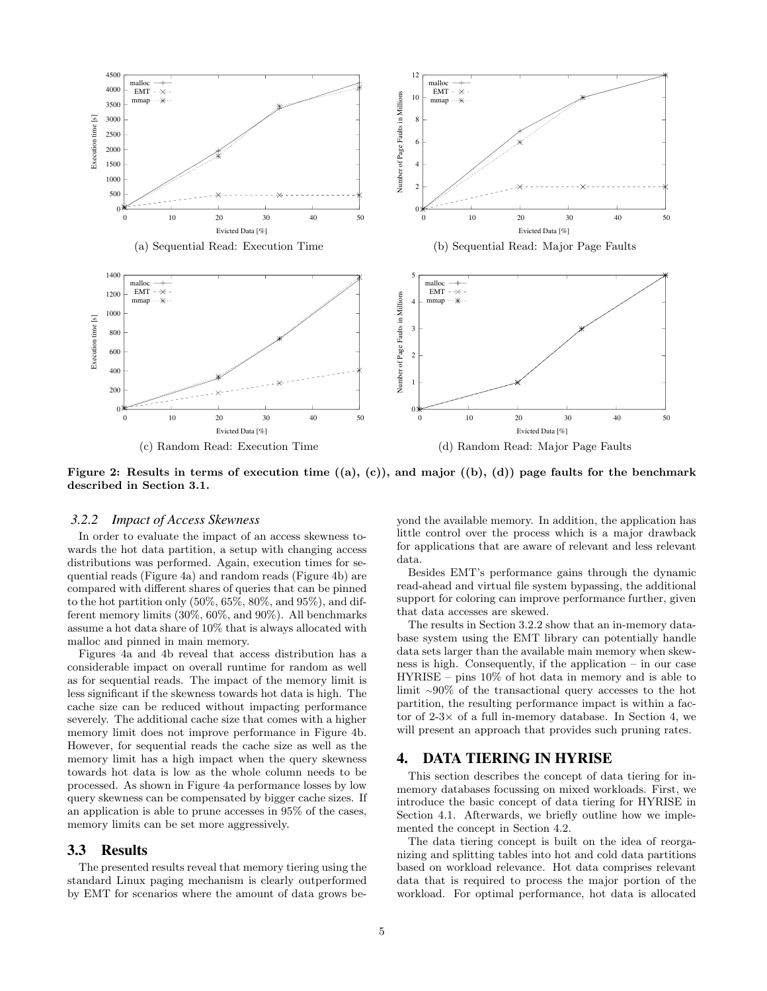

Figure 2: Results in terms of execution time  $((a), (c))$ , and major  $((b), (d))$  page faults for the benchmark described in Section 3.1.

#### *3.2.2 Impact of Access Skewness*

In order to evaluate the impact of an access skewness towards the hot data partition, a setup with changing access distributions was performed. Again, execution times for sequential reads (Figure 4a) and random reads (Figure 4b) are compared with different shares of queries that can be pinned to the hot partition only  $(50\%, 65\%, 80\%, \text{and } 95\%)$ , and different memory limits (30%, 60%, and 90%). All benchmarks assume a hot data share of 10% that is always allocated with malloc and pinned in main memory.

Figures 4a and 4b reveal that access distribution has a considerable impact on overall runtime for random as well as for sequential reads. The impact of the memory limit is less significant if the skewness towards hot data is high. The cache size can be reduced without impacting performance severely. The additional cache size that comes with a higher memory limit does not improve performance in Figure 4b. However, for sequential reads the cache size as well as the memory limit has a high impact when the query skewness towards hot data is low as the whole column needs to be processed. As shown in Figure 4a performance losses by low query skewness can be compensated by bigger cache sizes. If an application is able to prune accesses in 95% of the cases, memory limits can be set more aggressively.

#### 3.3 Results

The presented results reveal that memory tiering using the standard Linux paging mechanism is clearly outperformed by EMT for scenarios where the amount of data grows beyond the available memory. In addition, the application has little control over the process which is a major drawback for applications that are aware of relevant and less relevant data.

Besides EMT's performance gains through the dynamic read-ahead and virtual file system bypassing, the additional support for coloring can improve performance further, given that data accesses are skewed.

The results in Section 3.2.2 show that an in-memory database system using the EMT library can potentially handle data sets larger than the available main memory when skewness is high. Consequently, if the application – in our case HYRISE – pins 10% of hot data in memory and is able to limit <sup>∼</sup>90% of the transactional query accesses to the hot partition, the resulting performance impact is within a factor of  $2-3\times$  of a full in-memory database. In Section 4, we will present an approach that provides such pruning rates.

## 4. DATA TIERING IN HYRISE

This section describes the concept of data tiering for inmemory databases focussing on mixed workloads. First, we introduce the basic concept of data tiering for HYRISE in Section 4.1. Afterwards, we briefly outline how we implemented the concept in Section 4.2.

The data tiering concept is built on the idea of reorganizing and splitting tables into hot and cold data partitions based on workload relevance. Hot data comprises relevant data that is required to process the major portion of the workload. For optimal performance, hot data is allocated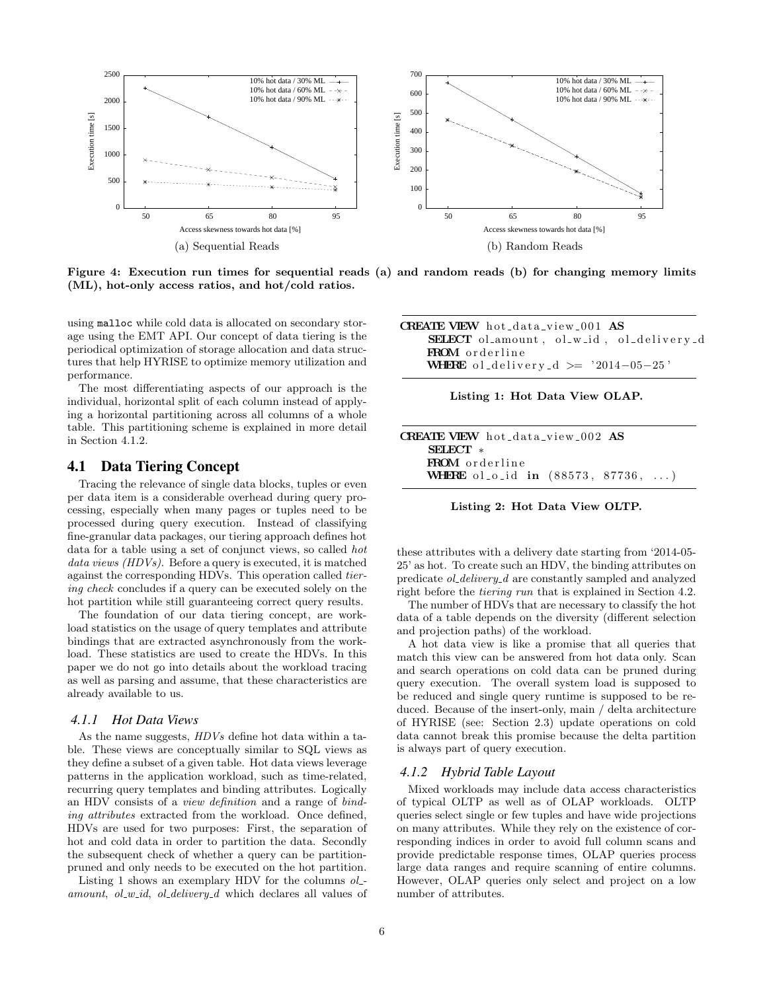

Figure 4: Execution run times for sequential reads (a) and random reads (b) for changing memory limits (ML), hot-only access ratios, and hot/cold ratios.

using malloc while cold data is allocated on secondary storage using the EMT API. Our concept of data tiering is the periodical optimization of storage allocation and data structures that help HYRISE to optimize memory utilization and performance.

The most differentiating aspects of our approach is the individual, horizontal split of each column instead of applying a horizontal partitioning across all columns of a whole table. This partitioning scheme is explained in more detail in Section 4.1.2.

# 4.1 Data Tiering Concept

Tracing the relevance of single data blocks, tuples or even per data item is a considerable overhead during query processing, especially when many pages or tuples need to be processed during query execution. Instead of classifying fine-granular data packages, our tiering approach defines hot data for a table using a set of conjunct views, so called hot data views (HDVs). Before a query is executed, it is matched against the corresponding HDVs. This operation called tiering check concludes if a query can be executed solely on the hot partition while still guaranteeing correct query results.

The foundation of our data tiering concept, are workload statistics on the usage of query templates and attribute bindings that are extracted asynchronously from the workload. These statistics are used to create the HDVs. In this paper we do not go into details about the workload tracing as well as parsing and assume, that these characteristics are already available to us.

#### *4.1.1 Hot Data Views*

As the name suggests, HDVs define hot data within a table. These views are conceptually similar to SQL views as they define a subset of a given table. Hot data views leverage patterns in the application workload, such as time-related, recurring query templates and binding attributes. Logically an HDV consists of a view definition and a range of binding attributes extracted from the workload. Once defined, HDVs are used for two purposes: First, the separation of hot and cold data in order to partition the data. Secondly the subsequent check of whether a query can be partitionpruned and only needs to be executed on the hot partition.

Listing 1 shows an exemplary HDV for the columns  $ol$ amount, ol  $w$ -id, ol delivery d which declares all values of

| <b>CREATE VIEW</b> hot_data_view_001 <b>AS</b>  |
|-------------------------------------------------|
| <b>SELECT</b> ol_amount, ol_w_id, ol_delivery_d |
| <b>FROM</b> orderline                           |
| <b>WHERE</b> oldelivery d $\ge$ '2014-05-25'    |

| Listing 1: Hot Data View OLAP. |  |  |  |
|--------------------------------|--|--|--|
|                                |  |  |  |

| <b>CREATE VIEW</b> hot_data_view_002 AS |                                            |
|-----------------------------------------|--------------------------------------------|
| $SETECT \times$                         |                                            |
| <b>FROM</b> orderline                   |                                            |
|                                         | <b>WHERE</b> ol_o_id in $(88573, 87736, )$ |

Listing 2: Hot Data View OLTP.

these attributes with a delivery date starting from '2014-05- 25' as hot. To create such an HDV, the binding attributes on predicate ol delivery d are constantly sampled and analyzed right before the tiering run that is explained in Section 4.2.

The number of HDVs that are necessary to classify the hot data of a table depends on the diversity (different selection and projection paths) of the workload.

A hot data view is like a promise that all queries that match this view can be answered from hot data only. Scan and search operations on cold data can be pruned during query execution. The overall system load is supposed to be reduced and single query runtime is supposed to be reduced. Because of the insert-only, main / delta architecture of HYRISE (see: Section 2.3) update operations on cold data cannot break this promise because the delta partition is always part of query execution.

#### *4.1.2 Hybrid Table Layout*

Mixed workloads may include data access characteristics of typical OLTP as well as of OLAP workloads. OLTP queries select single or few tuples and have wide projections on many attributes. While they rely on the existence of corresponding indices in order to avoid full column scans and provide predictable response times, OLAP queries process large data ranges and require scanning of entire columns. However, OLAP queries only select and project on a low number of attributes.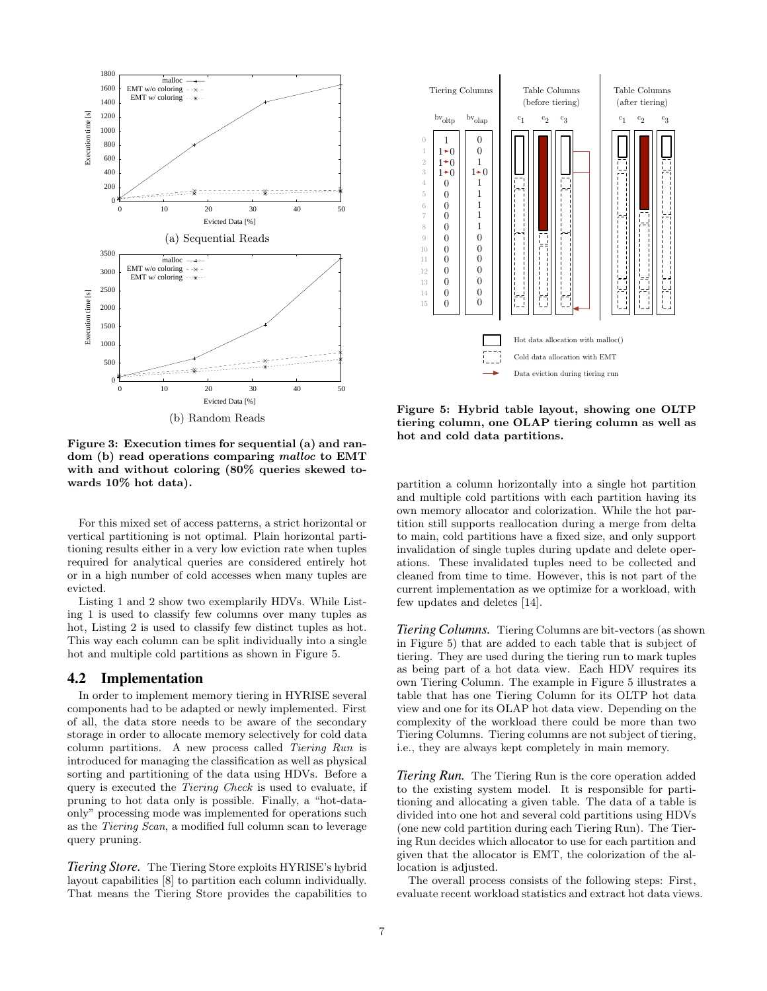

Cold data allocation with EMT 1  $1 \pm 0$  $1 \div 0$  $1 + 0$ 0  $\Omega$ 0 0 0  $\Omega$ 0 0 0 0  $\Omega$ 0 0 1  $\theta$  $1 \div 0$ 1 1 1 1 1 0 0  $\theta$ 0  $\Omega$ 0  $\Omega$ Tiering Columns Table Columns (before tiering) bv<sub>oltp</sub> bv<sub>olap</sub>  $c_1$  c<sub>2</sub> c<sub>3</sub> Table Columns (after tiering)  $c_1$   $c_2$   $c_3$  $\theta$ 2 1 3 4 6 5 7 8 10 9 11 12 14 13 15 Data eviction during tiering run

Figure 3: Execution times for sequential (a) and random (b) read operations comparing malloc to EMT with and without coloring (80% queries skewed towards 10% hot data).

For this mixed set of access patterns, a strict horizontal or vertical partitioning is not optimal. Plain horizontal partitioning results either in a very low eviction rate when tuples required for analytical queries are considered entirely hot or in a high number of cold accesses when many tuples are evicted.

Listing 1 and 2 show two exemplarily HDVs. While Listing 1 is used to classify few columns over many tuples as hot, Listing 2 is used to classify few distinct tuples as hot. This way each column can be split individually into a single hot and multiple cold partitions as shown in Figure 5.

# 4.2 Implementation

In order to implement memory tiering in HYRISE several components had to be adapted or newly implemented. First of all, the data store needs to be aware of the secondary storage in order to allocate memory selectively for cold data column partitions. A new process called Tiering Run is introduced for managing the classification as well as physical sorting and partitioning of the data using HDVs. Before a query is executed the Tiering Check is used to evaluate, if pruning to hot data only is possible. Finally, a "hot-dataonly" processing mode was implemented for operations such as the Tiering Scan, a modified full column scan to leverage query pruning. From Costrollon in the set of the set of the set of the set of the set of the capabilities of the set of the set of the capabilities of the capabilities to Hot data allocation with a forest of the capabilities to Hot data

*Tiering Store.* The Tiering Store exploits HYRISE's hybrid layout capabilities [8] to partition each column individually.

Figure 5: Hybrid table layout, showing one OLTP tiering column, one OLAP tiering column as well as hot and cold data partitions.

partition a column horizontally into a single hot partition and multiple cold partitions with each partition having its own memory allocator and colorization. While the hot partition still supports reallocation during a merge from delta to main, cold partitions have a fixed size, and only support invalidation of single tuples during update and delete operations. These invalidated tuples need to be collected and cleaned from time to time. However, this is not part of the current implementation as we optimize for a workload, with few updates and deletes [14].

*Tiering Columns.* Tiering Columns are bit-vectors (as shown in Figure 5) that are added to each table that is subject of tiering. They are used during the tiering run to mark tuples as being part of a hot data view. Each HDV requires its own Tiering Column. The example in Figure 5 illustrates a table that has one Tiering Column for its OLTP hot data view and one for its OLAP hot data view. Depending on the complexity of the workload there could be more than two Tiering Columns. Tiering columns are not subject of tiering, i.e., they are always kept completely in main memory.

*Tiering Run.* The Tiering Run is the core operation added to the existing system model. It is responsible for partitioning and allocating a given table. The data of a table is divided into one hot and several cold partitions using HDVs (one new cold partition during each Tiering Run). The Tiering Run decides which allocator to use for each partition and given that the allocator is EMT, the colorization of the allocation is adjusted.

The overall process consists of the following steps: First, evaluate recent workload statistics and extract hot data views.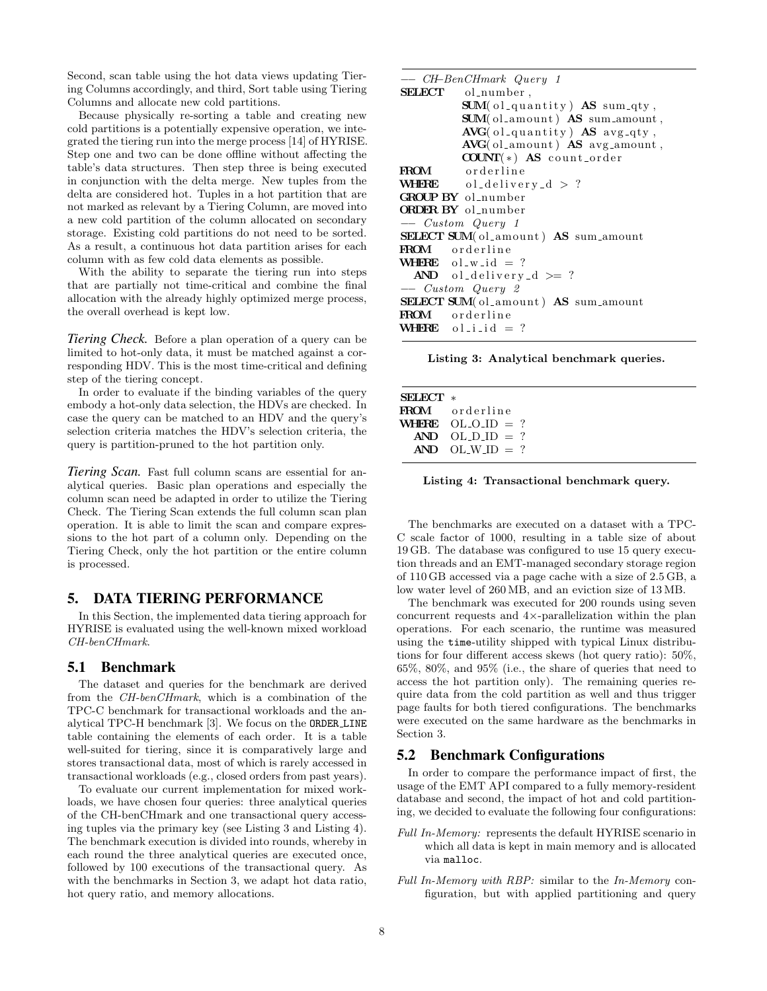Second, scan table using the hot data views updating Tiering Columns accordingly, and third, Sort table using Tiering Columns and allocate new cold partitions.

Because physically re-sorting a table and creating new cold partitions is a potentially expensive operation, we integrated the tiering run into the merge process [14] of HYRISE. Step one and two can be done offline without affecting the table's data structures. Then step three is being executed in conjunction with the delta merge. New tuples from the delta are considered hot. Tuples in a hot partition that are not marked as relevant by a Tiering Column, are moved into a new cold partition of the column allocated on secondary storage. Existing cold partitions do not need to be sorted. As a result, a continuous hot data partition arises for each column with as few cold data elements as possible.

With the ability to separate the tiering run into steps that are partially not time-critical and combine the final allocation with the already highly optimized merge process, the overall overhead is kept low.

*Tiering Check.* Before a plan operation of a query can be limited to hot-only data, it must be matched against a corresponding HDV. This is the most time-critical and defining step of the tiering concept.

In order to evaluate if the binding variables of the query embody a hot-only data selection, the HDVs are checked. In case the query can be matched to an HDV and the query's selection criteria matches the HDV's selection criteria, the query is partition-pruned to the hot partition only.

*Tiering Scan.* Fast full column scans are essential for analytical queries. Basic plan operations and especially the column scan need be adapted in order to utilize the Tiering Check. The Tiering Scan extends the full column scan plan operation. It is able to limit the scan and compare expressions to the hot part of a column only. Depending on the Tiering Check, only the hot partition or the entire column is processed.

# 5. DATA TIERING PERFORMANCE

In this Section, the implemented data tiering approach for HYRISE is evaluated using the well-known mixed workload CH-benCHmark.

## 5.1 Benchmark

The dataset and queries for the benchmark are derived from the CH-benCHmark, which is a combination of the TPC-C benchmark for transactional workloads and the analytical TPC-H benchmark [3]. We focus on the ORDER LINE table containing the elements of each order. It is a table well-suited for tiering, since it is comparatively large and stores transactional data, most of which is rarely accessed in transactional workloads (e.g., closed orders from past years).

To evaluate our current implementation for mixed workloads, we have chosen four queries: three analytical queries of the CH-benCHmark and one transactional query accessing tuples via the primary key (see Listing 3 and Listing 4). The benchmark execution is divided into rounds, whereby in each round the three analytical queries are executed once, followed by 100 executions of the transactional query. As with the benchmarks in Section 3, we adapt hot data ratio, hot query ratio, and memory allocations.

| -- CH-BenCHmark Query 1                           |
|---------------------------------------------------|
| SELECT ol_number,                                 |
| <b>SUM</b> (ol_quantity) $\overline{AS}$ sum_qty, |
| SUM(ol_amount) AS sum_amount,                     |
| AVG(ol-quantity) AS avg-qty,                      |
| $AVG($ ol_amount $)$ AS avg_amount,               |
| $COUNT(*)$ AS count_order                         |
| FROM orderline                                    |
| <b>WHERE</b> oldelivery $d > ?$                   |
| GROUP BY ol number                                |
| <b>ORDER BY</b> ol_number                         |
| -- Custom Query 1                                 |
| SELECT SUM(ol.amount) AS sum_amount               |
| <b>FROM</b> orderline                             |
| <b>WHERE</b> $ol_w_id = ?$                        |
| $AND$ ol_delivery_d >= ?                          |
| $-$ Custom Query 2                                |
| SELECT SUM(ol_amount) AS sum_amount               |
| <b>FROM</b> orderline                             |
| <b>WHERE</b> ollid $= ?$                          |

Listing 3: Analytical benchmark queries.

| $SETECT$ * |                       |
|------------|-----------------------|
|            | <b>FROM</b> orderline |
|            | WHERE OLOID $= ?$     |
|            | $AND$ $OL$ $DD = ?$   |
|            | AND OLWID $= ?$       |
|            |                       |

Listing 4: Transactional benchmark query.

The benchmarks are executed on a dataset with a TPC-C scale factor of 1000, resulting in a table size of about 19 GB. The database was configured to use 15 query execution threads and an EMT-managed secondary storage region of 110 GB accessed via a page cache with a size of 2.5 GB, a low water level of 260 MB, and an eviction size of 13 MB.

The benchmark was executed for 200 rounds using seven concurrent requests and 4×-parallelization within the plan operations. For each scenario, the runtime was measured using the time-utility shipped with typical Linux distributions for four different access skews (hot query ratio): 50%, 65%, 80%, and 95% (i.e., the share of queries that need to access the hot partition only). The remaining queries require data from the cold partition as well and thus trigger page faults for both tiered configurations. The benchmarks were executed on the same hardware as the benchmarks in Section 3.

# 5.2 Benchmark Configurations

In order to compare the performance impact of first, the usage of the EMT API compared to a fully memory-resident database and second, the impact of hot and cold partitioning, we decided to evaluate the following four configurations:

- Full In-Memory: represents the default HYRISE scenario in which all data is kept in main memory and is allocated via malloc.
- Full In-Memory with RBP: similar to the In-Memory configuration, but with applied partitioning and query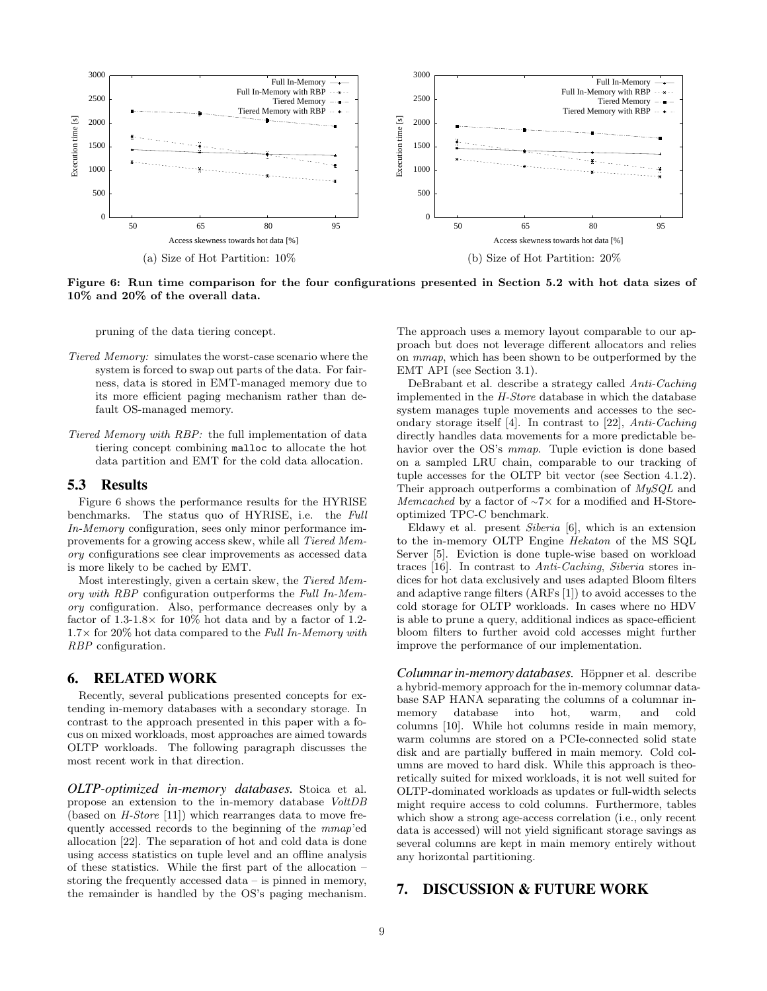

Figure 6: Run time comparison for the four configurations presented in Section 5.2 with hot data sizes of 10% and 20% of the overall data.

pruning of the data tiering concept.

- Tiered Memory: simulates the worst-case scenario where the system is forced to swap out parts of the data. For fairness, data is stored in EMT-managed memory due to its more efficient paging mechanism rather than default OS-managed memory.
- Tiered Memory with RBP: the full implementation of data tiering concept combining malloc to allocate the hot data partition and EMT for the cold data allocation.

#### 5.3 Results

Figure 6 shows the performance results for the HYRISE benchmarks. The status quo of HYRISE, i.e. the Full In-Memory configuration, sees only minor performance improvements for a growing access skew, while all Tiered Memory configurations see clear improvements as accessed data is more likely to be cached by EMT.

Most interestingly, given a certain skew, the Tiered Memory with RBP configuration outperforms the Full In-Memory configuration. Also, performance decreases only by a factor of  $1.3-1.8\times$  for 10% hot data and by a factor of 1.2- $1.7\times$  for 20% hot data compared to the Full In-Memory with RBP configuration.

# 6. RELATED WORK

Recently, several publications presented concepts for extending in-memory databases with a secondary storage. In contrast to the approach presented in this paper with a focus on mixed workloads, most approaches are aimed towards OLTP workloads. The following paragraph discusses the most recent work in that direction.

*OLTP-optimized in-memory databases.* Stoica et al. propose an extension to the in-memory database VoltDB (based on H-Store [11]) which rearranges data to move frequently accessed records to the beginning of the mmap'ed allocation [22]. The separation of hot and cold data is done using access statistics on tuple level and an offline analysis of these statistics. While the first part of the allocation – storing the frequently accessed data – is pinned in memory, the remainder is handled by the OS's paging mechanism. The approach uses a memory layout comparable to our approach but does not leverage different allocators and relies on mmap, which has been shown to be outperformed by the EMT API (see Section 3.1).

DeBrabant et al. describe a strategy called Anti-Caching implemented in the H-Store database in which the database system manages tuple movements and accesses to the secondary storage itself [4]. In contrast to [22], Anti-Caching directly handles data movements for a more predictable behavior over the OS's mmap. Tuple eviction is done based on a sampled LRU chain, comparable to our tracking of tuple accesses for the OLTP bit vector (see Section 4.1.2). Their approach outperforms a combination of  $MySQL$  and Memcached by a factor of ∼7× for a modified and H-Storeoptimized TPC-C benchmark.

Eldawy et al. present Siberia [6], which is an extension to the in-memory OLTP Engine Hekaton of the MS SQL Server [5]. Eviction is done tuple-wise based on workload traces [16]. In contrast to Anti-Caching, Siberia stores indices for hot data exclusively and uses adapted Bloom filters and adaptive range filters (ARFs [1]) to avoid accesses to the cold storage for OLTP workloads. In cases where no HDV is able to prune a query, additional indices as space-efficient bloom filters to further avoid cold accesses might further improve the performance of our implementation.

*Columnar in-memory databases.* Höppner et al. describe a hybrid-memory approach for the in-memory columnar database SAP HANA separating the columns of a columnar inmemory database into hot, warm, and cold columns [10]. While hot columns reside in main memory, warm columns are stored on a PCIe-connected solid state disk and are partially buffered in main memory. Cold columns are moved to hard disk. While this approach is theoretically suited for mixed workloads, it is not well suited for OLTP-dominated workloads as updates or full-width selects might require access to cold columns. Furthermore, tables which show a strong age-access correlation (i.e., only recent data is accessed) will not yield significant storage savings as several columns are kept in main memory entirely without any horizontal partitioning.

# 7. DISCUSSION & FUTURE WORK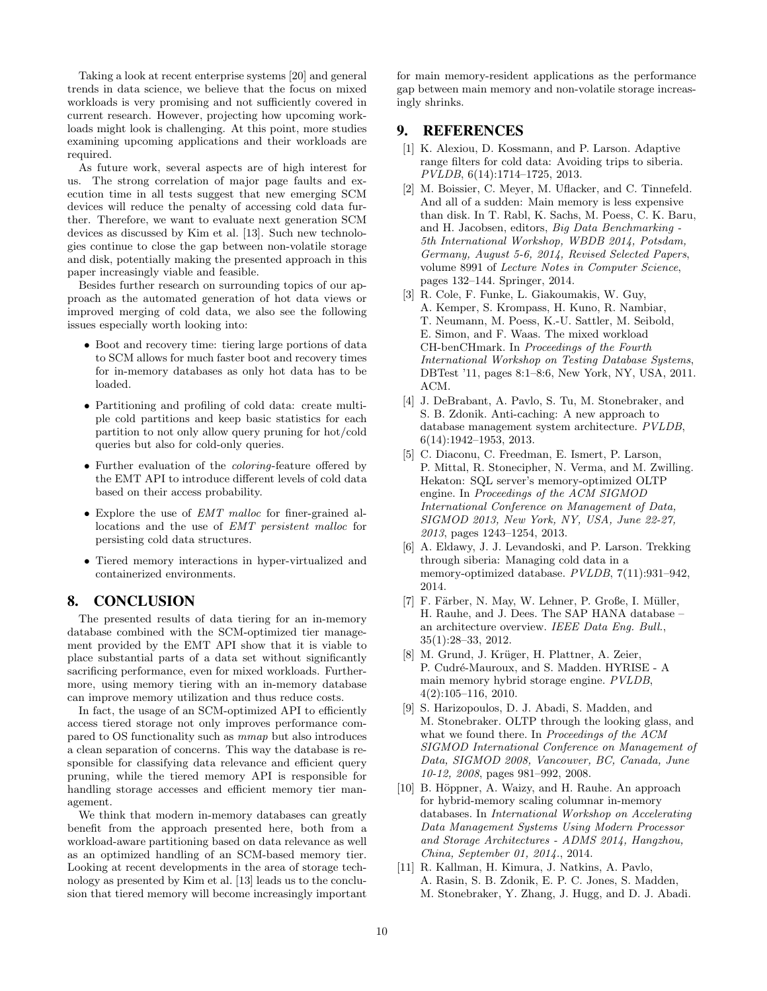Taking a look at recent enterprise systems [20] and general trends in data science, we believe that the focus on mixed workloads is very promising and not sufficiently covered in current research. However, projecting how upcoming workloads might look is challenging. At this point, more studies examining upcoming applications and their workloads are required.

As future work, several aspects are of high interest for us. The strong correlation of major page faults and execution time in all tests suggest that new emerging SCM devices will reduce the penalty of accessing cold data further. Therefore, we want to evaluate next generation SCM devices as discussed by Kim et al. [13]. Such new technologies continue to close the gap between non-volatile storage and disk, potentially making the presented approach in this paper increasingly viable and feasible.

Besides further research on surrounding topics of our approach as the automated generation of hot data views or improved merging of cold data, we also see the following issues especially worth looking into:

- Boot and recovery time: tiering large portions of data to SCM allows for much faster boot and recovery times for in-memory databases as only hot data has to be loaded.
- Partitioning and profiling of cold data: create multiple cold partitions and keep basic statistics for each partition to not only allow query pruning for hot/cold queries but also for cold-only queries.
- Further evaluation of the *coloring*-feature offered by the EMT API to introduce different levels of cold data based on their access probability.
- Explore the use of EMT malloc for finer-grained allocations and the use of EMT persistent malloc for persisting cold data structures.
- Tiered memory interactions in hyper-virtualized and containerized environments.

# 8. CONCLUSION

The presented results of data tiering for an in-memory database combined with the SCM-optimized tier management provided by the EMT API show that it is viable to place substantial parts of a data set without significantly sacrificing performance, even for mixed workloads. Furthermore, using memory tiering with an in-memory database can improve memory utilization and thus reduce costs.

In fact, the usage of an SCM-optimized API to efficiently access tiered storage not only improves performance compared to OS functionality such as mmap but also introduces a clean separation of concerns. This way the database is responsible for classifying data relevance and efficient query pruning, while the tiered memory API is responsible for handling storage accesses and efficient memory tier management.

We think that modern in-memory databases can greatly benefit from the approach presented here, both from a workload-aware partitioning based on data relevance as well as an optimized handling of an SCM-based memory tier. Looking at recent developments in the area of storage technology as presented by Kim et al. [13] leads us to the conclusion that tiered memory will become increasingly important for main memory-resident applications as the performance gap between main memory and non-volatile storage increasingly shrinks.

# 9. REFERENCES

- [1] K. Alexiou, D. Kossmann, and P. Larson. Adaptive range filters for cold data: Avoiding trips to siberia. PVLDB, 6(14):1714–1725, 2013.
- [2] M. Boissier, C. Meyer, M. Uflacker, and C. Tinnefeld. And all of a sudden: Main memory is less expensive than disk. In T. Rabl, K. Sachs, M. Poess, C. K. Baru, and H. Jacobsen, editors, Big Data Benchmarking - 5th International Workshop, WBDB 2014, Potsdam, Germany, August 5-6, 2014, Revised Selected Papers, volume 8991 of Lecture Notes in Computer Science, pages 132–144. Springer, 2014.
- [3] R. Cole, F. Funke, L. Giakoumakis, W. Guy, A. Kemper, S. Krompass, H. Kuno, R. Nambiar, T. Neumann, M. Poess, K.-U. Sattler, M. Seibold, E. Simon, and F. Waas. The mixed workload CH-benCHmark. In Proceedings of the Fourth International Workshop on Testing Database Systems, DBTest '11, pages 8:1–8:6, New York, NY, USA, 2011. ACM.
- [4] J. DeBrabant, A. Pavlo, S. Tu, M. Stonebraker, and S. B. Zdonik. Anti-caching: A new approach to database management system architecture. PVLDB, 6(14):1942–1953, 2013.
- [5] C. Diaconu, C. Freedman, E. Ismert, P. Larson, P. Mittal, R. Stonecipher, N. Verma, and M. Zwilling. Hekaton: SQL server's memory-optimized OLTP engine. In Proceedings of the ACM SIGMOD International Conference on Management of Data, SIGMOD 2013, New York, NY, USA, June 22-27, 2013, pages 1243–1254, 2013.
- [6] A. Eldawy, J. J. Levandoski, and P. Larson. Trekking through siberia: Managing cold data in a memory-optimized database. PVLDB, 7(11):931–942, 2014.
- [7] F. Färber, N. May, W. Lehner, P. Große, I. Müller, H. Rauhe, and J. Dees. The SAP HANA database – an architecture overview. IEEE Data Eng. Bull., 35(1):28–33, 2012.
- [8] M. Grund, J. Krüger, H. Plattner, A. Zeier, P. Cudré-Mauroux, and S. Madden. HYRISE - A main memory hybrid storage engine. PVLDB, 4(2):105–116, 2010.
- [9] S. Harizopoulos, D. J. Abadi, S. Madden, and M. Stonebraker. OLTP through the looking glass, and what we found there. In Proceedings of the ACM SIGMOD International Conference on Management of Data, SIGMOD 2008, Vancouver, BC, Canada, June 10-12, 2008, pages 981–992, 2008.
- [10] B. Höppner, A. Waizy, and H. Rauhe. An approach for hybrid-memory scaling columnar in-memory databases. In International Workshop on Accelerating Data Management Systems Using Modern Processor and Storage Architectures - ADMS 2014, Hangzhou, China, September 01, 2014., 2014.
- [11] R. Kallman, H. Kimura, J. Natkins, A. Pavlo, A. Rasin, S. B. Zdonik, E. P. C. Jones, S. Madden, M. Stonebraker, Y. Zhang, J. Hugg, and D. J. Abadi.